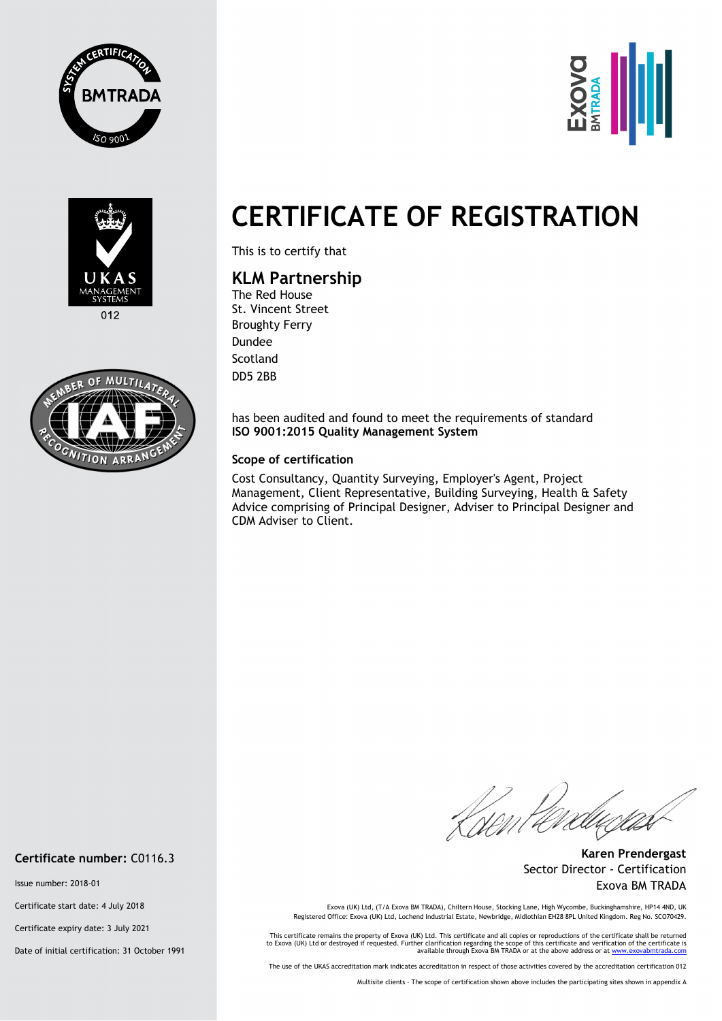





 $012$ 



## **CERTIFICATE OF REGISTRATION**

This is to certify that

## **KLM Partnership**

The Red House St. Vincent Street Broughty Ferry Dundee **Scotland** DD5 2BB

has been audited and found to meet the requirements of standard **ISO 9001:2015 Quality Management System** 

## **Scope of certification**

Cost Consultancy, Quantity Surveying, Employer's Agent, Project Management, Client Representative, Building Surveying, Health & Safety Advice comprising of Principal Designer, Adviser to Principal Designer and CDM Adviser to Client.

Kisent terd

**Karen Prendergast** Sector Director - Certification Exova BM TRADA

Exova (UK) Ltd, (T/A Exova BM TRADA), Chiltern House, Stocking Lane, High Wycombe, Buckinghamshire, HP14 4ND, UK<br>Registered Office: Exova (UK) Ltd, Lochend Industrial Estate, Newbridge, Midlothian EH28 8PL United Kingdom.

This certificate remains the property of Exova (UK) Ltd. This certificate and all copies or reproductions of the certificate shall be returned<br>to Exova (UK) Ltd or destroyed if requested. Further clarification regarding th

The use of the UKAS accreditation mark indicates accreditation in respect of those activities covered by the accreditation certification 012

Multisite clients – The scope of certification shown above includes the participating sites shown in appendix A

**Certificate number:** C0116.3

Issue number: 2018-01

Certificate start date: 4 July 2018

Certificate expiry date: 3 July 2021

Date of initial certification: 31 October 1991